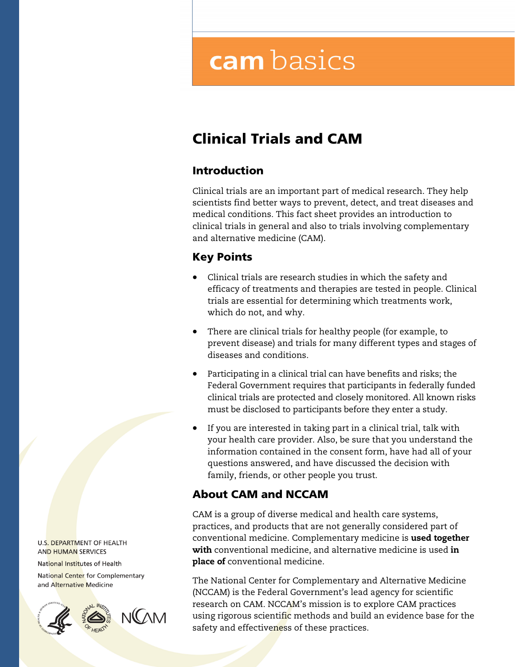# **cam** basics

# Clinical Trials and CAM

# Introduction

Clinical trials are an important part of medical research. They help scientists find better ways to prevent, detect, and treat diseases and medical conditions. This fact sheet provides an introduction to clinical trials in general and also to trials involving complementary and alternative medicine (CAM).

# Key Points

- Clinical trials are research studies in which the safety and efficacy of treatments and therapies are tested in people. Clinical trials are essential for determining which treatments work, which do not, and why.
- There are clinical trials for healthy people (for example, to prevent disease) and trials for many different types and stages of diseases and conditions.
- Federal Government requires that participants in federally funded must be disclosed to participants before they enter a study. Participating in a clinical trial can have benefits and risks; the clinical trials are protected and closely monitored. All known risks
- If you are interested in taking part in a clinical trial, talk with your health care provider. Also, be sure that you understand the information contained in the consent form, have had all of your questions answered, and have discussed the decision with family, friends, or other people you trust.

# About CAM and NCCAM

CAM is a group of diverse medical and health care systems, practices, and products that are not generally considered part of conventional medicine. Complementary medicine is used together with conventional medicine, and alternative medicine is used in place of conventional medicine.

The National Center for Complementary and Alternative Medicine (NCCAM) is the Federal Government's lead agency for scientific research on CAM. NCCAM's mission is to explore CAM practices using rigorous scientific methods and build an evidence base for the safety and effectiveness of these practices.

U.S. DEPARTMENT OF HEALTH **AND HUMAN SERVICES** 

National Institutes of Health

National Center for Complementary and Alternative Medicine

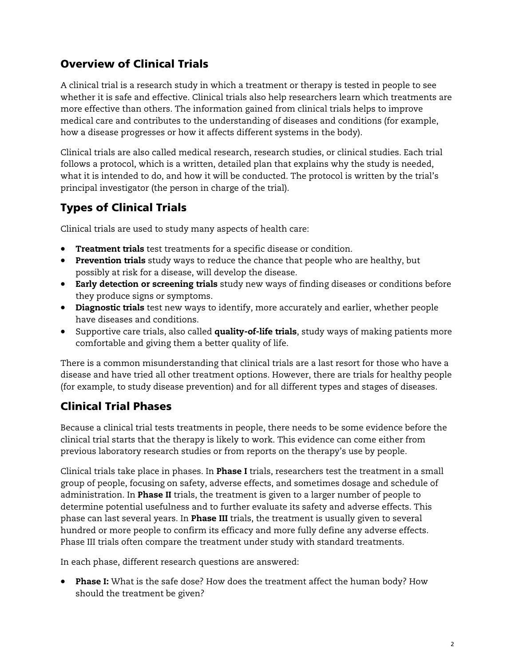# Overview of Clinical Trials

how a disease progresses or how it affects different systems in the body). A clinical trial is a research study in which a treatment or therapy is tested in people to see whether it is safe and effective. Clinical trials also help researchers learn which treatments are more effective than others. The information gained from clinical trials helps to improve medical care and contributes to the understanding of diseases and conditions (for example,

Clinical trials are also called medical research, research studies, or clinical studies. Each trial follows a protocol, which is a written, detailed plan that explains why the study is needed, what it is intended to do, and how it will be conducted. The protocol is written by the trial's principal investigator (the person in charge of the trial).

# Types of Clinical Trials

Clinical trials are used to study many aspects of health care:

- **Treatment trials** test treatments for a specific disease or condition.
- **Prevention trials** study ways to reduce the chance that people who are healthy, but possibly at risk for a disease, will develop the disease.
- **Early detection or screening trials** study new ways of finding diseases or conditions before they produce signs or symptoms.
- Diagnostic trials test new ways to identify, more accurately and earlier, whether people have diseases and conditions.
- Supportive care trials, also called quality-of-life trials, study ways of making patients more comfortable and giving them a better quality of life.

There is a common misunderstanding that clinical trials are a last resort for those who have a disease and have tried all other treatment options. However, there are trials for healthy people (for example, to study disease prevention) and for all different types and stages of diseases.

# Clinical Trial Phases

Because a clinical trial tests treatments in people, there needs to be some evidence before the clinical trial starts that the therapy is likely to work. This evidence can come either from previous laboratory research studies or from reports on the therapy's use by people.

Clinical trials take place in phases. In Phase I trials, researchers test the treatment in a small group of people, focusing on safety, adverse effects, and sometimes dosage and schedule of administration. In **Phase II** trials, the treatment is given to a larger number of people to determine potential usefulness and to further evaluate its safety and adverse effects. This phase can last several years. In Phase III trials, the treatment is usually given to several hundred or more people to confirm its efficacy and more fully define any adverse effects. Phase III trials often compare the treatment under study with standard treatments.

In each phase, different research questions are answered:

• Phase I: What is the safe dose? How does the treatment affect the human body? How should the treatment be given?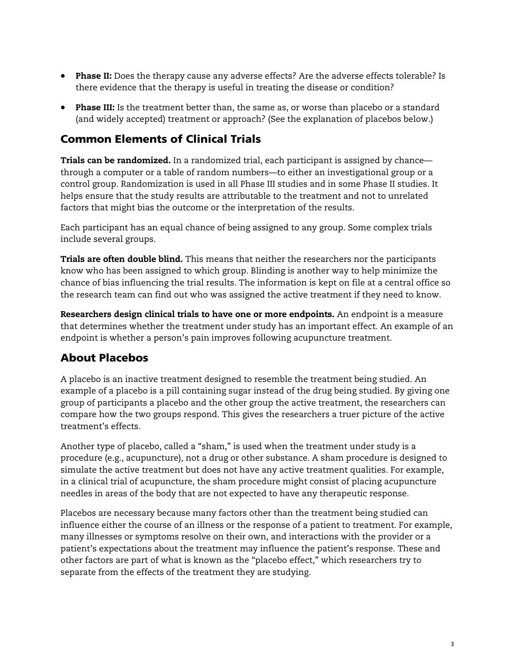- there evidence that the therapy is useful in treating the disease or condition? • Phase II: Does the therapy cause any adverse effects? Are the adverse effects tolerable? Is
- Phase III: Is the treatment better than, the same as, or worse than placebo or a standard (and widely accepted) treatment or approach? (See the explanation of placebos below.)

# Common Elements of Clinical Trials

**Trials can be randomized.** In a randomized trial, each participant is assigned by chance through a computer or a table of random numbers—to either an investigational group or a control group. Randomization is used in all Phase III studies and in some Phase II studies. It helps ensure that the study results are attributable to the treatment and not to unrelated factors that might bias the outcome or the interpretation of the results.

Each participant has an equal chance of being assigned to any group. Some complex trials include several groups.

Trials are often double blind. This means that neither the researchers nor the participants know who has been assigned to which group. Blinding is another way to help minimize the chance of bias influencing the trial results. The information is kept on file at a central office so the research team can find out who was assigned the active treatment if they need to know.

Researchers design clinical trials to have one or more endpoints. An endpoint is a measure that determines whether the treatment under study has an important effect. An example of an endpoint is whether a person's pain improves following acupuncture treatment.

# About Placebos

A placebo is an inactive treatment designed to resemble the treatment being studied. An example of a placebo is a pill containing sugar instead of the drug being studied. By giving one group of participants a placebo and the other group the active treatment, the researchers can compare how the two groups respond. This gives the researchers a truer picture of the active treatment's effects.

Another type of placebo, called a "sham," is used when the treatment under study is a procedure (e.g., acupuncture), not a drug or other substance. A sham procedure is designed to simulate the active treatment but does not have any active treatment qualities. For example, in a clinical trial of acupuncture, the sham procedure might consist of placing acupuncture needles in areas of the body that are not expected to have any therapeutic response.

Placebos are necessary because many factors other than the treatment being studied can influence either the course of an illness or the response of a patient to treatment. For example, many illnesses or symptoms resolve on their own, and interactions with the provider or a patient's expectations about the treatment may influence the patient's response. These and other factors are part of what is known as the "placebo effect," which researchers try to separate from the effects of the treatment they are studying.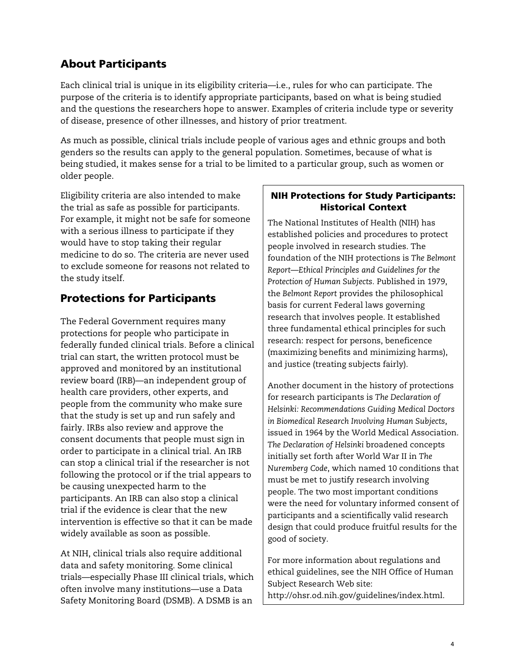# About Participants

Each clinical trial is unique in its eligibility criteria—i.e., rules for who can participate. The purpose of the criteria is to identify appropriate participants, based on what is being studied and the questions the researchers hope to answer. Examples of criteria include type or severity of disease, presence of other illnesses, and history of prior treatment.

As much as possible, clinical trials include people of various ages and ethnic groups and both genders so the results can apply to the general population. Sometimes, because of what is being studied, it makes sense for a trial to be limited to a particular group, such as women or older people.

Eligibility criteria are also intended to make the trial as safe as possible for participants. For example, it might not be safe for someone with a serious illness to participate if they would have to stop taking their regular medicine to do so. The criteria are never used to exclude someone for reasons not related to the study itself.

# Protections for Participants

The Federal Government requires many protections for people who participate in federally funded clinical trials. Before a clinical trial can start, the written protocol must be approved and monitored by an institutional review board (IRB)—an independent group of health care providers, other experts, and people from the community who make sure that the study is set up and run safely and fairly. IRBs also review and approve the consent documents that people must sign in order to participate in a clinical trial. An IRB can stop a clinical trial if the researcher is not following the protocol or if the trial appears to be causing unexpected harm to the participants. An IRB can also stop a clinical trial if the evidence is clear that the new intervention is effective so that it can be made widely available as soon as possible.

At NIH, clinical trials also require additional data and safety monitoring. Some clinical trials—especially Phase III clinical trials, which often involve many institutions—use a Data Safety Monitoring Board (DSMB). A DSMB is an

#### NIH Protections for Study Participants: Historical Context

The National Institutes of Health (NIH) has established policies and procedures to protect people involved in research studies. The foundation of the NIH protections is *The Belmont Report—Ethical Principles and Guidelines for the Protection of Human Subjects.* Published in 1979, the *Belmont Report* provides the philosophical basis for current Federal laws governing research that involves people. It established three fundamental ethical principles for such research: respect for persons, beneficence (maximizing benefits and minimizing harms), and justice (treating subjects fairly).

Another document in the history of protections for research participants is *The Declaration of Helsinki: Recommendations Guiding Medical Doctors in Biomedical Research Involving Human Subjects*, issued in 1964 by the World Medical Association. *The Declaration of Helsinki* broadened concepts initially set forth after World War II in *The Nuremberg Code*, which named 10 conditions that must be met to justify research involving people. The two most important conditions were the need for voluntary informed consent of participants and a scientifically valid research design that could produce fruitful results for the good of society.

For more information about regulations and ethical guidelines, see the NIH Office of Human Subject Research Web site: http://ohsr.od.nih.gov/guidelines/index.html.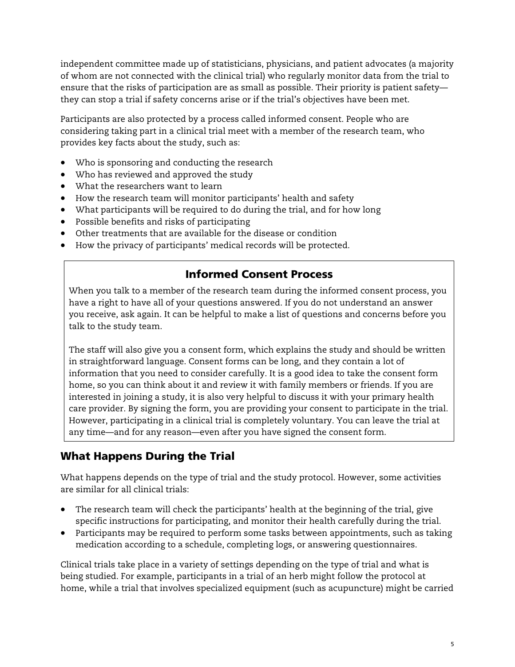independent committee made up of statisticians, physicians, and patient advocates (a majority of whom are not connected with the clinical trial) who regularly monitor data from the trial to ensure that the risks of participation are as small as possible. Their priority is patient safety they can stop a trial if safety concerns arise or if the trial's objectives have been met.

Participants are also protected by a process called informed consent. People who are considering taking part in a clinical trial meet with a member of the research team, who provides key facts about the study, such as:

- Who is sponsoring and conducting the research
- Who has reviewed and approved the study
- What the researchers want to learn
- How the research team will monitor participants' health and safety
- What participants will be required to do during the trial, and for how long
- Possible benefits and risks of participating
- Other treatments that are available for the disease or condition
- How the privacy of participants' medical records will be protected.

### Informed Consent Process

When you talk to a member of the research team during the informed consent process, you have a right to have all of your questions answered. If you do not understand an answer you receive, ask again. It can be helpful to make a list of questions and concerns before you talk to the study team.

The staff will also give you a consent form, which explains the study and should be written in straightforward language. Consent forms can be long, and they contain a lot of information that you need to consider carefully. It is a good idea to take the consent form home, so you can think about it and review it with family members or friends. If you are interested in joining a study, it is also very helpful to discuss it with your primary health care provider. By signing the form, you are providing your consent to participate in the trial. However, participating in a clinical trial is completely voluntary. You can leave the trial at any time—and for any reason—even after you have signed the consent form.

#### What Happens During the Trial

What happens depends on the type of trial and the study protocol. However, some activities are similar for all clinical trials:

- The research team will check the participants' health at the beginning of the trial, give specific instructions for participating, and monitor their health carefully during the trial.
- Participants may be required to perform some tasks between appointments, such as taking medication according to a schedule, completing logs, or answering questionnaires.

Clinical trials take place in a variety of settings depending on the type of trial and what is being studied. For example, participants in a trial of an herb might follow the protocol at home, while a trial that involves specialized equipment (such as acupuncture) might be carried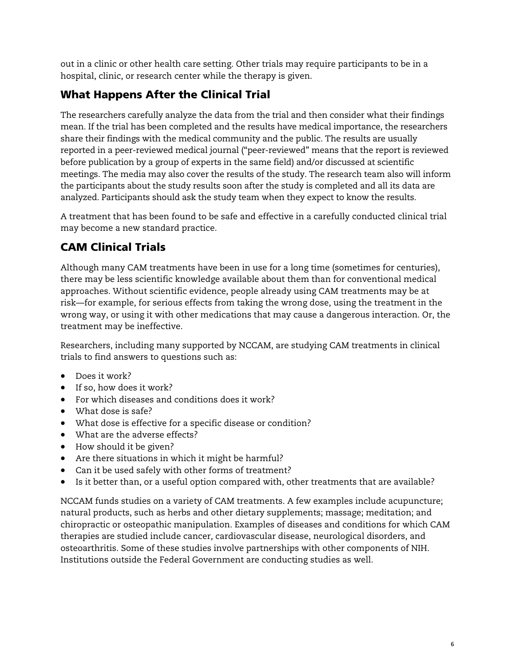out in a clinic or other health care setting. Other trials may require participants to be in a hospital, clinic, or research center while the therapy is given.

# What Happens After the Clinical Trial

The researchers carefully analyze the data from the trial and then consider what their findings mean. If the trial has been completed and the results have medical importance, the researchers share their findings with the medical community and the public. The results are usually reported in a peer-reviewed medical journal ("peer-reviewed" means that the report is reviewed before publication by a group of experts in the same field) and/or discussed at scientific meetings. The media may also cover the results of the study. The research team also will inform the participants about the study results soon after the study is completed and all its data are analyzed. Participants should ask the study team when they expect to know the results.

A treatment that has been found to be safe and effective in a carefully conducted clinical trial may become a new standard practice.

# CAM Clinical Trials

Although many CAM treatments have been in use for a long time (sometimes for centuries), there may be less scientific knowledge available about them than for conventional medical approaches. Without scientific evidence, people already using CAM treatments may be at risk—for example, for serious effects from taking the wrong dose, using the treatment in the wrong way, or using it with other medications that may cause a dangerous interaction. Or, the treatment may be ineffective.

Researchers, including many supported by NCCAM, are studying CAM treatments in clinical trials to find answers to questions such as:

- Does it work?
- If so, how does it work?
- For which diseases and conditions does it work?
- What dose is safe?
- What dose is effective for a specific disease or condition?
- What are the adverse effects?
- How should it be given?
- Are there situations in which it might be harmful?
- Can it be used safely with other forms of treatment?
- Is it better than, or a useful option compared with, other treatments that are available?

NCCAM funds studies on a variety of CAM treatments. A few examples include acupuncture; natural products, such as herbs and other dietary supplements; massage; meditation; and chiropractic or osteopathic manipulation. Examples of diseases and conditions for which CAM therapies are studied include cancer, cardiovascular disease, neurological disorders, and osteoarthritis. Some of these studies involve partnerships with other components of NIH. Institutions outside the Federal Government are conducting studies as well.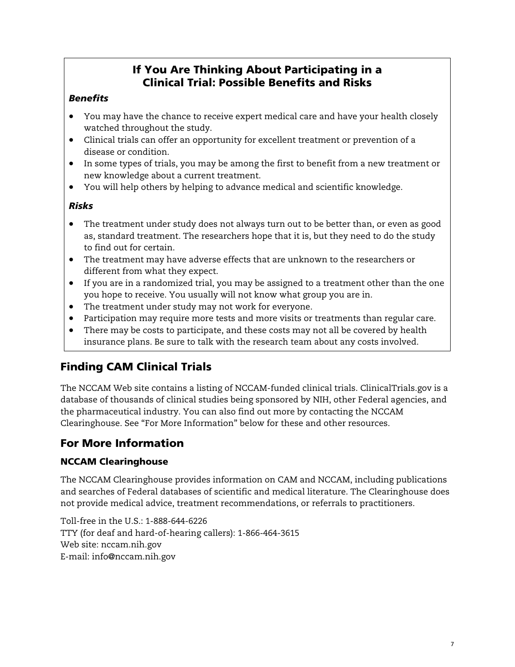# If You Are Thinking About Participating in a Clinical Trial: Possible Benefits and Risks

#### *Benefits*

- You may have the chance to receive expert medical care and have your health closely watched throughout the study.
- Clinical trials can offer an opportunity for excellent treatment or prevention of a disease or condition.
- In some types of trials, you may be among the first to benefit from a new treatment or new knowledge about a current treatment.
- You will help others by helping to advance medical and scientific knowledge.

#### *Risks*

- The treatment under study does not always turn out to be better than, or even as good as, standard treatment. The researchers hope that it is, but they need to do the study to find out for certain.
- The treatment may have adverse effects that are unknown to the researchers or different from what they expect.
- If you are in a randomized trial, you may be assigned to a treatment other than the one you hope to receive. You usually will not know what group you are in.
- The treatment under study may not work for everyone.
- Participation may require more tests and more visits or treatments than regular care.
- There may be costs to participate, and these costs may not all be covered by health insurance plans. Be sure to talk with the research team about any costs involved.

# Finding CAM Clinical Trials

The NCCAM Web site contains a listing of NCCAM-funded clinical trials. ClinicalTrials.gov is a database of thousands of clinical studies being sponsored by NIH, other Federal agencies, and the pharmaceutical industry. You can also find out more by contacting the NCCAM Clearinghouse. See "For More Information" below for these and other resources.

# For More Information

#### NCCAM Clearinghouse

The NCCAM Clearinghouse provides information on CAM and NCCAM, including publications and searches of Federal databases of scientific and medical literature. The Clearinghouse does not provide medical advice, treatment recommendations, or referrals to practitioners.

Toll-free in the U.S.: 1-888-644-6226 TTY (for deaf and hard-of-hearing callers): 1-866-464-3615 Web site:<nccam.nih.gov> E-mail: info@nccam.nih.gov